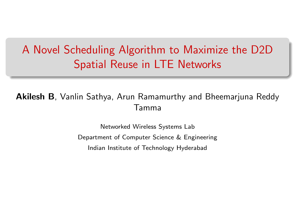# <span id="page-0-0"></span>A Novel Scheduling Algorithm to Maximize the D2D Spatial Reuse in LTE Networks

#### Akilesh B, Vanlin Sathya, Arun Ramamurthy and Bheemarjuna Reddy Tamma

Networked Wireless Systems Lab Department of Computer Science & Engineering Indian Institute of Technology Hyderabad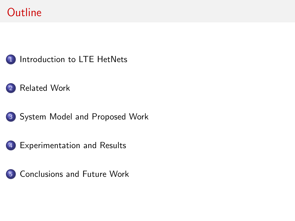## **Outline**



- [Related Work](#page-4-0)
- [System Model and Proposed Work](#page-7-0)
- [Experimentation and Results](#page-16-0)



[Conclusions and Future Work](#page-19-0)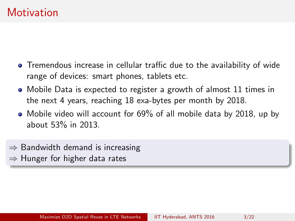- <span id="page-2-0"></span>Tremendous increase in cellular traffic due to the availability of wide range of devices: smart phones, tablets etc.
- Mobile Data is expected to register a growth of almost 11 times in the next 4 years, reaching 18 exa-bytes per month by 2018.
- Mobile video will account for 69% of all mobile data by 2018, up by about 53% in 2013.
- $\Rightarrow$  Bandwidth demand is increasing
- $\Rightarrow$  Hunger for higher data rates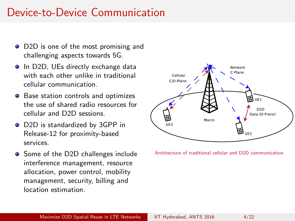#### Device-to-Device Communication

- D2D is one of the most promising and challenging aspects towards 5G.
- In D2D, UEs directly exchange data with each other unlike in traditional cellular communication.
- Base station controls and optimizes the use of shared radio resources for cellular and D2D sessions.
- D2D is standardized by 3GPP in Release-12 for proximity-based services.
- Some of the D2D challenges include interference management, resource allocation, power control, mobility management, security, billing and location estimation.



Architecture of traditional cellular and D2D communication.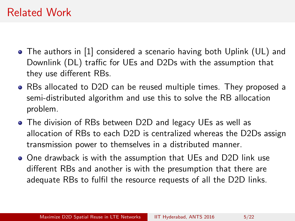#### <span id="page-4-0"></span>Related Work

- The authors in [\[1\]](#page-20-0) considered a scenario having both Uplink (UL) and Downlink (DL) traffic for UEs and D2Ds with the assumption that they use different RBs.
- RBs allocated to D2D can be reused multiple times. They proposed a semi-distributed algorithm and use this to solve the RB allocation problem.
- The division of RBs between D2D and legacy UEs as well as allocation of RBs to each D2D is centralized whereas the D2Ds assign transmission power to themselves in a distributed manner.
- One drawback is with the assumption that UEs and D2D link use different RBs and another is with the presumption that there are adequate RBs to fulfil the resource requests of all the D2D links.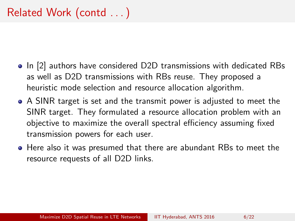- In [\[2\]](#page-20-1) authors have considered D2D transmissions with dedicated RBs as well as D2D transmissions with RBs reuse. They proposed a heuristic mode selection and resource allocation algorithm.
- A SINR target is set and the transmit power is adjusted to meet the SINR target. They formulated a resource allocation problem with an objective to maximize the overall spectral efficiency assuming fixed transmission powers for each user.
- Here also it was presumed that there are abundant RBs to meet the resource requests of all D2D links.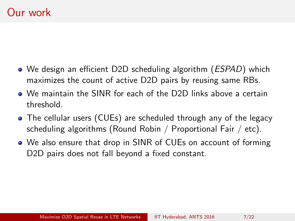- We design an efficient D2D scheduling algorithm (*ESPAD*) which maximizes the count of active D2D pairs by reusing same RBs.
- We maintain the SINR for each of the D2D links above a certain threshold.
- The cellular users (CUEs) are scheduled through any of the legacy scheduling algorithms (Round Robin / Proportional Fair / etc).
- We also ensure that drop in SINR of CUEs on account of forming D<sub>2</sub>D pairs does not fall beyond a fixed constant.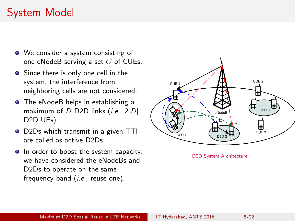# <span id="page-7-0"></span>System Model

- We consider a system consisting of one eNodeB serving a set  $C$  of CUEs.
- Since there is only one cell in the system, the interference from neighboring cells are not considered.
- **•** The eNodeB helps in establishing a maximum of  $D$  D2D links (*i.e.*,  $2|D|$ D2D UEs).
- D2Ds which transmit in a given TTI are called as active D2Ds.
- In order to boost the system capacity, we have considered the eNodeBs and D2Ds to operate on the same frequency band (i.e., reuse one).



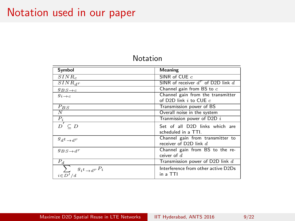#### Notation used in our paper

| Symbol                                         | <b>Meaning</b>                                                  |
|------------------------------------------------|-----------------------------------------------------------------|
| $SINR_c$                                       | SINR of CUE $c$                                                 |
| $\overline{SINR}_{d}r$                         | SINR of receiver $d^r$ of D2D link $d$                          |
| $g_{BS\rightarrow c}$                          | Channel gain from BS to c                                       |
| $g_{i\rightarrow c}$                           | Channel gain from the transmitter<br>of D2D link $i$ to CUE $c$ |
| $P_{BS}$                                       | Transmission power of BS                                        |
| $\overline{N}$                                 | Overall noise in the system                                     |
| $P_i$                                          | Tranmission power of $D2D$ i                                    |
| $D^{'} \subseteq D$                            | Set of all D2D links which are<br>scheduled in a TTI.           |
| $g_{d}t_{\rightarrow d}r$                      | Channel gain from transmitter to<br>receiver of D2D link $d$    |
| $g_{BS\rightarrow d}r$                         | Channel gain from BS to the re-<br>ceiver of $d$                |
| $\bar{P}_d$                                    | Transmission power of D2D link $d$                              |
| $g_{i}t \rightarrow d r P_{i}$<br>$i \in D'/d$ | Interference from other active D2Ds<br>in a TTI                 |

#### Notation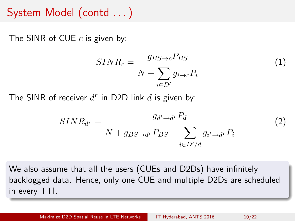#### System Model (contd . . . )

The SINR of CUE  $c$  is given by:

$$
SINR_c = \frac{g_{BS \to c} P_{BS}}{N + \sum_{i \in D'} g_{i \to c} P_i}
$$
(1)

The SINR of receiver  $d^r$  in D2D link  $d$  is given by:

$$
SINR_{d^r} = \frac{g_{d^t \to d^r} P_d}{N + g_{BS \to d^r} P_{BS} + \sum_{i \in D'/d} g_{i^t \to d^r} P_i}
$$
(2)

We also assume that all the users (CUEs and D2Ds) have infinitely backlogged data. Hence, only one CUE and multiple D2Ds are scheduled in every TTI.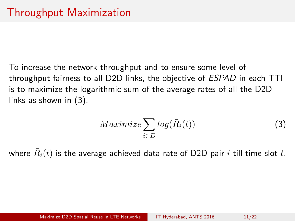To increase the network throughput and to ensure some level of throughput fairness to all D2D links, the objective of ESPAD in each TTI is to maximize the logarithmic sum of the average rates of all the D2D links as shown in [\(3\)](#page-10-0).

<span id="page-10-0"></span>
$$
Maximize \sum_{i \in D} log(\bar{R}_i(t))
$$
 (3)

where  $\bar{R}_i(t)$  is the average achieved data rate of D2D pair  $i$  till time slot  $t.$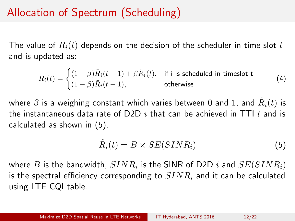# Allocation of Spectrum (Scheduling)

The value of  $R_i(t)$  depends on the decision of the scheduler in time slot t and is updated as:

$$
\bar{R}_i(t) = \begin{cases} (1 - \beta)\bar{R}_i(t - 1) + \beta \hat{R}_i(t), & \text{if } i \text{ is scheduled in timeslot t} \\ (1 - \beta)\bar{R}_i(t - 1), & \text{otherwise} \end{cases}
$$
(4)

where  $\beta$  is a weighing constant which varies between 0 and 1, and  $\hat{R}_i(t)$  is the instantaneous data rate of D2D i that can be achieved in TTI t and is calculated as shown in [\(5\)](#page-11-0).

<span id="page-11-0"></span>
$$
\hat{R}_i(t) = B \times SE(SINR_i)
$$
\n(5)

where  $B$  is the bandwidth,  $SINR_i$  is the SINR of D2D  $i$  and  $SE(SINR_i)$ is the spectral efficiency corresponding to  $SINR<sub>i</sub>$  and it can be calculated using LTE CQI table.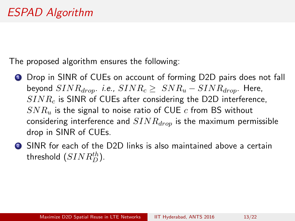The proposed algorithm ensures the following:

- **1** Drop in SINR of CUEs on account of forming D2D pairs does not fall beyond  $SINR_{drom}$ . i.e.,  $SINR_c \geq SNR_u - SINR_{drom}$ . Here,  $SINR<sub>c</sub>$  is SINR of CUEs after considering the D2D interference,  $SNR_u$  is the signal to noise ratio of CUE c from BS without considering interference and  $SINR_{drop}$  is the maximum permissible drop in SINR of CUEs.
- <sup>2</sup> SINR for each of the D2D links is also maintained above a certain threshold  $(SINR^{th}_D).$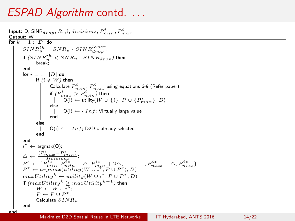#### ESPAD Algorithm contd. ...

end

```
Input: D, \overline{\textsf{SINR}_{drop}}, \overline{R}, \beta, divisions, P_{min}^i, P_{max}^iOutput: W
for k = 1 : |D| do
         SINR_u^{th} = SNR_u - SINR_{drop}^{layer};if (SINR^{th}_u < SNR_u - SINR_{drop}) then
                 break;
        end
        for i = 1 : |D| do
                 if (i \notin W) then
                          Calculate P_{min}^i, P_{max}^i using equations 6-9 (Refer paper)
                          if ({P}_{max}^i > {P}_{min}^i) then
                                   \overline{O(i)} \leftarrow \text{utility}(W \cup \{i\}, P \cup \{P_{max}^i\}, D)else
                                  O(i) \leftarrow -Inf; Virtually large value
                         end
                 else
                         O(i) \leftarrow -Inf; D2D i already selected
                 end
        end
         i^* \leftarrow \text{argmax}(0);
         \Delta \leftarrow \frac{(P_{max}^i - P_{min}^i)}{divisions};P^s \leftarrow \{P^{i*}_{min}, P^{i*}_{min} + \Delta, P^{i*}_{min} + 2\Delta, \ldots, \ldots, P^{i*}_{max} - \Delta, P^{i*}_{max}\}<br>
P^* \leftarrow \text{argmax}(\text{utility}(W \cup i^*, P \cup P^s), D)maxUtility^k \leftarrow utility(W \cup i^*, P \cup P^*, D)if (maxUtility^k > maxUtility^{k-1}) then
                 W \leftarrow W \cup i^*;
                 P \leftarrow P \cup P^*;
                 Calculate SINR_u;
        end
```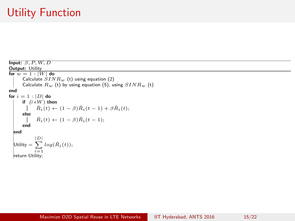# Utility Function

Input:  $β, P, W, D$ Output: Utility for  $w = 1 : |W|$  do Calculate  $SINR_w$  (t) using equation (2) Calculate  $R_w$  (t) by using equation (5), using  $SINR_w$  (t) end for  $i = 1 : |D|$  do if  $(i \in W)$  then  $\bar{R}_i(t) \leftarrow (1 - \beta) \bar{R}_i(t - 1) + \beta \hat{R}_i(t);$ else  $\bar{R}_i(t) \leftarrow (1 - \beta) \bar{R}_i(t - 1);$ end end Utility  $= \sum^{|D|} log(\bar{R}_i(t));$  $|D|$  $\frac{i=1}{i}$ return Utility;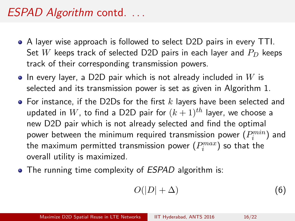#### ESPAD Algorithm contd. ...

- A layer wise approach is followed to select D2D pairs in every TTI. Set W keeps track of selected D2D pairs in each layer and  $P_D$  keeps track of their corresponding transmission powers.
- $\bullet$  In every layer, a D2D pair which is not already included in W is selected and its transmission power is set as given in Algorithm 1.
- $\bullet$  For instance, if the D2Ds for the first k lavers have been selected and updated in W, to find a D2D pair for  $(k+1)$ <sup>th</sup> layer, we choose a new D2D pair which is not already selected and find the optimal power between the minimum required transmission power  $(P_i^{min})$  and the maximum permitted transmission power  $(P_{i}^{max})$  so that the overall utility is maximized.
- The running time complexity of *ESPAD* algorithm is:

$$
O(|D| + \Delta) \tag{6}
$$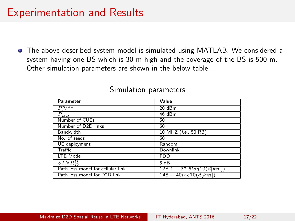#### <span id="page-16-0"></span>Experimentation and Results

The above described system model is simulated using MATLAB. We considered a system having one BS which is 30 m high and the coverage of the BS is 500 m. Other simulation parameters are shown in the below table.

| Parameter                         | Value                      |
|-----------------------------------|----------------------------|
| $\overline{P^{max}}$<br>$\Gamma$  | 20 dBm                     |
| $P_{BS}$                          | 46 dBm                     |
| Number of CUEs                    | 50                         |
| Number of D2D links               | 50                         |
| <b>Bandwidth</b>                  | 10 MHZ (i.e., 50 RB)       |
| No. of seeds                      | 50                         |
| UE deployment                     | Random                     |
| Traffic                           | Downlink                   |
| LTE Mode                          | <b>FDD</b>                 |
| $SINR^{th}_{D}$                   | 5 dB                       |
| Path loss model for cellular link | $128.1 + 37.6log10(d[km])$ |
| Path loss model for D2D link      | $148 + 40log10(d[km])$     |

#### Simulation parameters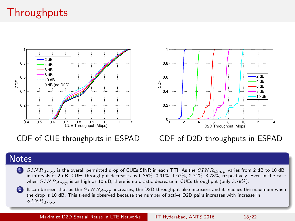# **Throughputs**



CDF of CUE throughputs in ESPAD



#### CDF of D2D throughputs in ESPAD

#### **Notes**

 $SINR_{dron}$  is the overall permitted drop of CUEs SINR in each TTI. As the  $SINR_{dron}$  varies from 2 dB to 10 dB in intervals of 2 dB, CUEs throughput decreases by 0.35%, 0.91%, 1.67%, 2.71%, 3.78%, respectively. Even in the case when  $SINR_{dron}$  is as high as 10 dB, there is no drastic decrease in CUEs throughput (only 3.78%).

It can be seen that as the  $SINR_{drop}$  increases, the D2D throughput also increases and it reaches the maximum when the drop is 10 dB. This trend is observed because the number of active D2D pairs increases with increase in  $SINR_{dron}$ .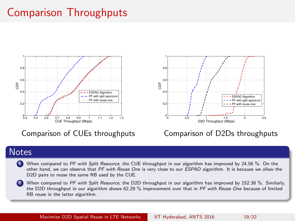## Comparison Throughputs



Comparison of CUEs throughputs



#### Comparison of D2Ds throughputs

#### **Notes**

- When compared to PF with Split Resource, the CUE throughput in our algorithm has improved by 24.56 %. On the other hand, we can observe that PF with Reuse One is very close to our ESPAD algorithm. It is because we allow the D2D pairs to reuse the same RB used by the CUE.
- When compared to PF with Split Resource, the D2D throughput in our algorithm has improved by 152.38 %. Similarly, the D2D throughput in our algorithm shows 62.29 % improvement over that in PF with Reuse One because of limited RB reuse in the latter algorithm.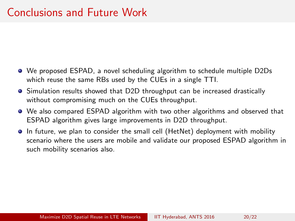- <span id="page-19-0"></span>We proposed ESPAD, a novel scheduling algorithm to schedule multiple D2Ds which reuse the same RBs used by the CUEs in a single TTI.
- Simulation results showed that D2D throughput can be increased drastically without compromising much on the CUEs throughput.
- We also compared ESPAD algorithm with two other algorithms and observed that ESPAD algorithm gives large improvements in D2D throughput.
- In future, we plan to consider the small cell (HetNet) deployment with mobility scenario where the users are mobile and validate our proposed ESPAD algorithm in such mobility scenarios also.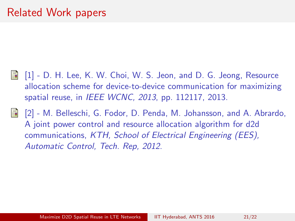- <span id="page-20-0"></span> $\blacksquare$  [1] - D. H. Lee, K. W. Choi, W. S. Jeon, and D. G. Jeong, Resource allocation scheme for device-to-device communication for maximizing spatial reuse, in IEEE WCNC, 2013, pp. 112117, 2013.
- <span id="page-20-1"></span>[2] - M. Belleschi, G. Fodor, D. Penda, M. Johansson, and A. Abrardo, F A joint power control and resource allocation algorithm for d2d communications, KTH, School of Electrical Engineering (EES), Automatic Control, Tech. Rep, 2012.